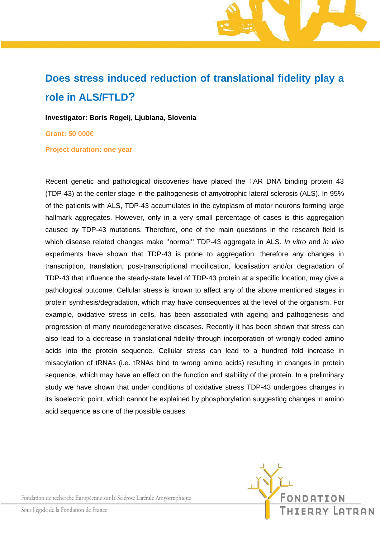## **Does stress induced reduction of translational fidelity play a role in ALS/FTLD?**

**Investigator: Boris Rogelj, Ljublana, Slovenia** 

**Grant: 50 000€** 

**Project duration: one year** 

Recent genetic and pathological discoveries have placed the TAR DNA binding protein 43 (TDP-43) at the center stage in the pathogenesis of amyotrophic lateral sclerosis (ALS). In 95% of the patients with ALS, TDP-43 accumulates in the cytoplasm of motor neurons forming large hallmark aggregates. However, only in a very small percentage of cases is this aggregation caused by TDP-43 mutations. Therefore, one of the main questions in the research field is which disease related changes make ''normal'' TDP-43 aggregate in ALS. *In vitro* and *in vivo* experiments have shown that TDP-43 is prone to aggregation, therefore any changes in transcription, translation, post-transcriptional modification, localisation and/or degradation of TDP-43 that influence the steady-state level of TDP-43 protein at a specific location, may give a pathological outcome. Cellular stress is known to affect any of the above mentioned stages in protein synthesis/degradation, which may have consequences at the level of the organism. For example, oxidative stress in cells, has been associated with ageing and pathogenesis and progression of many neurodegenerative diseases. Recently it has been shown that stress can also lead to a decrease in translational fidelity through incorporation of wrongly-coded amino acids into the protein sequence. Cellular stress can lead to a hundred fold increase in misacylation of tRNAs (i.e. tRNAs bind to wrong amino acids) resulting in changes in protein sequence, which may have an effect on the function and stability of the protein. In a preliminary study we have shown that under conditions of oxidative stress TDP-43 undergoes changes in its isoelectric point, which cannot be explained by phosphorylation suggesting changes in amino acid sequence as one of the possible causes.

Fondation de recherche Européenne sur la Sclérose Latérale Amyotrophique